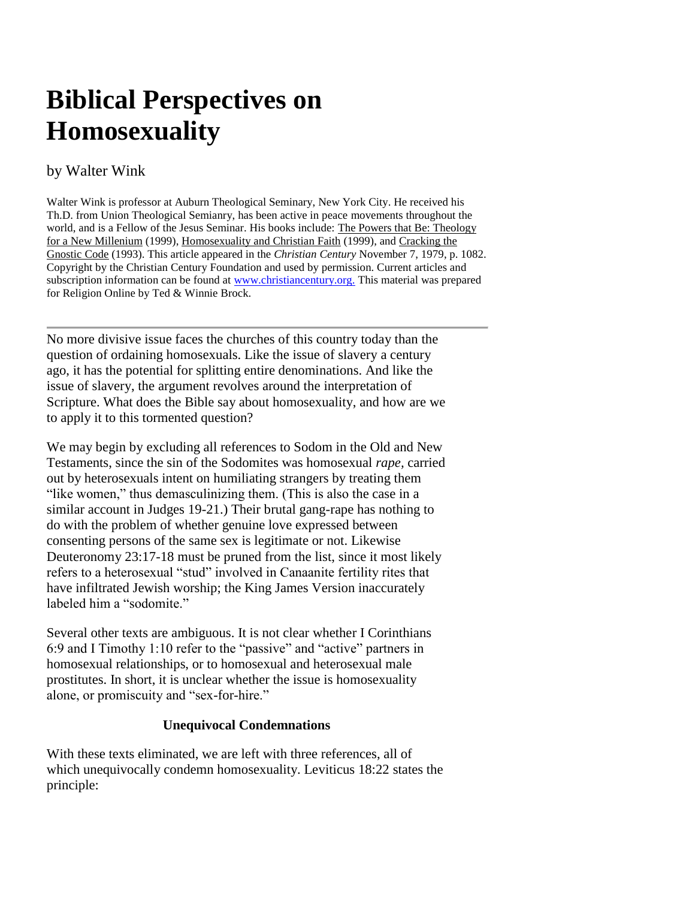# **Biblical Perspectives on Homosexuality**

## by Walter Wink

Walter Wink is professor at Auburn Theological Seminary, New York City. He received his Th.D. from Union Theological Semianry, has been active in peace movements throughout the world, and is a Fellow of the Jesus Seminar. His books include: The Powers that Be: Theology for a New Millenium (1999), Homosexuality and Christian Faith (1999), and Cracking the Gnostic Code (1993). This article appeared in the *Christian Century* November 7, 1979, p. 1082. Copyright by the Christian Century Foundation and used by permission. Current articles and subscription information can be found at [www.christiancentury.org.](http://www.christiancentury.org/) This material was prepared for Religion Online by Ted & Winnie Brock.

No more divisive issue faces the churches of this country today than the question of ordaining homosexuals. Like the issue of slavery a century ago, it has the potential for splitting entire denominations. And like the issue of slavery, the argument revolves around the interpretation of Scripture. What does the Bible say about homosexuality, and how are we to apply it to this tormented question?

We may begin by excluding all references to Sodom in the Old and New Testaments, since the sin of the Sodomites was homosexual *rape,* carried out by heterosexuals intent on humiliating strangers by treating them "like women," thus demasculinizing them. (This is also the case in a similar account in Judges 19-21.) Their brutal gang-rape has nothing to do with the problem of whether genuine love expressed between consenting persons of the same sex is legitimate or not. Likewise Deuteronomy 23:17-18 must be pruned from the list, since it most likely refers to a heterosexual "stud" involved in Canaanite fertility rites that have infiltrated Jewish worship; the King James Version inaccurately labeled him a "sodomite."

Several other texts are ambiguous. It is not clear whether I Corinthians 6:9 and I Timothy 1:10 refer to the "passive" and "active" partners in homosexual relationships, or to homosexual and heterosexual male prostitutes. In short, it is unclear whether the issue is homosexuality alone, or promiscuity and "sex-for-hire."

## **Unequivocal Condemnations**

With these texts eliminated, we are left with three references, all of which unequivocally condemn homosexuality. Leviticus 18:22 states the principle: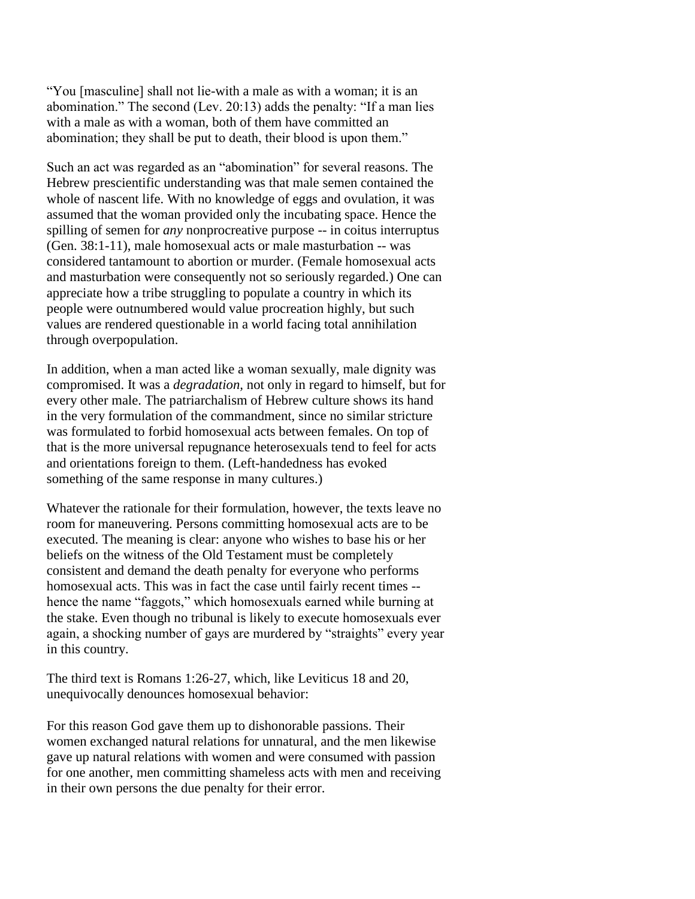"You [masculine] shall not lie-with a male as with a woman; it is an abomination." The second (Lev. 20:13) adds the penalty: "If a man lies with a male as with a woman, both of them have committed an abomination; they shall be put to death, their blood is upon them."

Such an act was regarded as an "abomination" for several reasons. The Hebrew prescientific understanding was that male semen contained the whole of nascent life. With no knowledge of eggs and ovulation, it was assumed that the woman provided only the incubating space. Hence the spilling of semen for *any* nonprocreative purpose -- in coitus interruptus (Gen. 38:1-11), male homosexual acts or male masturbation -- was considered tantamount to abortion or murder. (Female homosexual acts and masturbation were consequently not so seriously regarded.) One can appreciate how a tribe struggling to populate a country in which its people were outnumbered would value procreation highly, but such values are rendered questionable in a world facing total annihilation through overpopulation.

In addition, when a man acted like a woman sexually, male dignity was compromised. It was a *degradation,* not only in regard to himself, but for every other male. The patriarchalism of Hebrew culture shows its hand in the very formulation of the commandment, since no similar stricture was formulated to forbid homosexual acts between females. On top of that is the more universal repugnance heterosexuals tend to feel for acts and orientations foreign to them. (Left-handedness has evoked something of the same response in many cultures.)

Whatever the rationale for their formulation, however, the texts leave no room for maneuvering. Persons committing homosexual acts are to be executed. The meaning is clear: anyone who wishes to base his or her beliefs on the witness of the Old Testament must be completely consistent and demand the death penalty for everyone who performs homosexual acts. This was in fact the case until fairly recent times - hence the name "faggots," which homosexuals earned while burning at the stake. Even though no tribunal is likely to execute homosexuals ever again, a shocking number of gays are murdered by "straights" every year in this country.

The third text is Romans 1:26-27, which, like Leviticus 18 and 20, unequivocally denounces homosexual behavior:

For this reason God gave them up to dishonorable passions. Their women exchanged natural relations for unnatural, and the men likewise gave up natural relations with women and were consumed with passion for one another, men committing shameless acts with men and receiving in their own persons the due penalty for their error.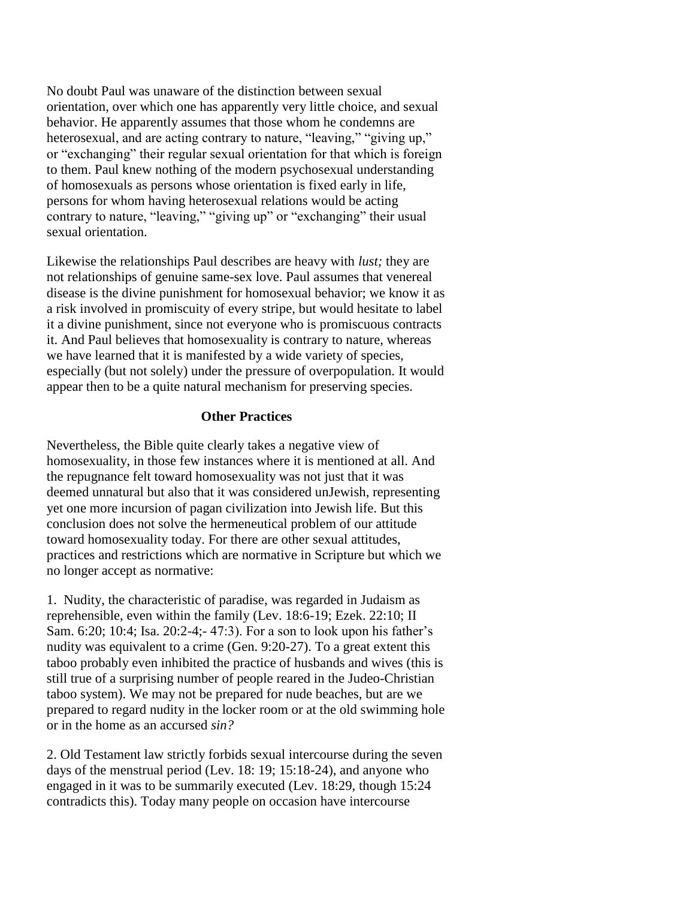No doubt Paul was unaware of the distinction between sexual orientation, over which one has apparently very little choice, and sexual behavior. He apparently assumes that those whom he condemns are heterosexual, and are acting contrary to nature, "leaving," "giving up," or "exchanging" their regular sexual orientation for that which is foreign to them. Paul knew nothing of the modern psychosexual understanding of homosexuals as persons whose orientation is fixed early in life, persons for whom having heterosexual relations would be acting contrary to nature, "leaving," "giving up" or "exchanging" their usual sexual orientation.

Likewise the relationships Paul describes are heavy with *lust;* they are not relationships of genuine same-sex love. Paul assumes that venereal disease is the divine punishment for homosexual behavior; we know it as a risk involved in promiscuity of every stripe, but would hesitate to label it a divine punishment, since not everyone who is promiscuous contracts it. And Paul believes that homosexuality is contrary to nature, whereas we have learned that it is manifested by a wide variety of species, especially (but not solely) under the pressure of overpopulation. It would appear then to be a quite natural mechanism for preserving species.

#### **Other Practices**

Nevertheless, the Bible quite clearly takes a negative view of homosexuality, in those few instances where it is mentioned at all. And the repugnance felt toward homosexuality was not just that it was deemed unnatural but also that it was considered unJewish, representing yet one more incursion of pagan civilization into Jewish life. But this conclusion does not solve the hermeneutical problem of our attitude toward homosexuality today. For there are other sexual attitudes, practices and restrictions which are normative in Scripture but which we no longer accept as normative:

1. Nudity, the characteristic of paradise, was regarded in Judaism as reprehensible, even within the family (Lev. 18:6-19; Ezek. 22:10; II Sam. 6:20; 10:4; Isa. 20:2-4;- 47:3). For a son to look upon his father's nudity was equivalent to a crime (Gen. 9:20-27). To a great extent this taboo probably even inhibited the practice of husbands and wives (this is still true of a surprising number of people reared in the Judeo-Christian taboo system). We may not be prepared for nude beaches, but are we prepared to regard nudity in the locker room or at the old swimming hole or in the home as an accursed *sin?*

2. Old Testament law strictly forbids sexual intercourse during the seven days of the menstrual period (Lev. 18: 19; 15:18-24), and anyone who engaged in it was to be summarily executed (Lev. 18:29, though 15:24 contradicts this). Today many people on occasion have intercourse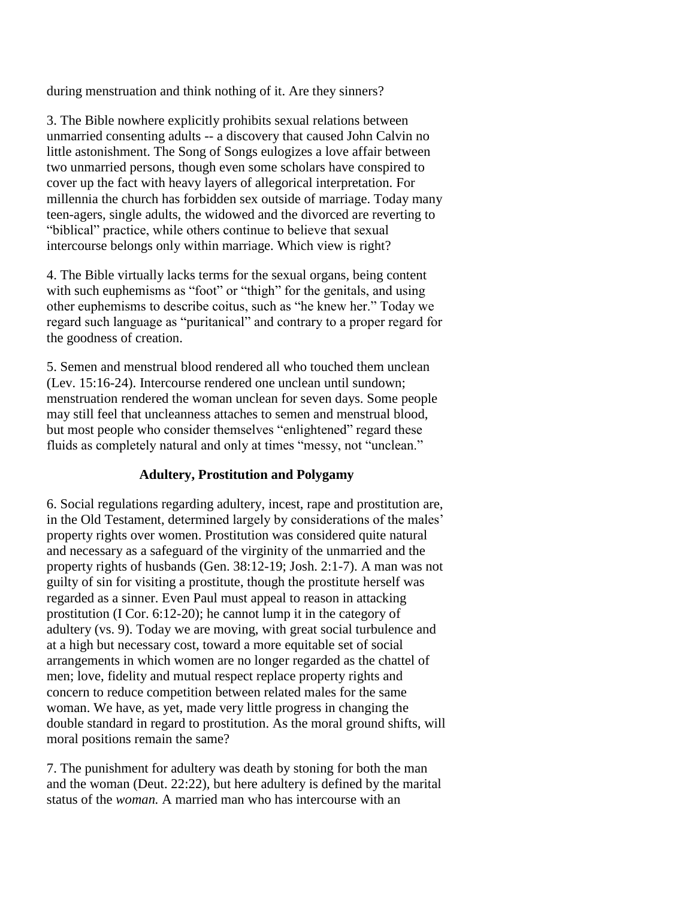during menstruation and think nothing of it. Are they sinners?

3. The Bible nowhere explicitly prohibits sexual relations between unmarried consenting adults -- a discovery that caused John Calvin no little astonishment. The Song of Songs eulogizes a love affair between two unmarried persons, though even some scholars have conspired to cover up the fact with heavy layers of allegorical interpretation. For millennia the church has forbidden sex outside of marriage. Today many teen-agers, single adults, the widowed and the divorced are reverting to "biblical" practice, while others continue to believe that sexual intercourse belongs only within marriage. Which view is right?

4. The Bible virtually lacks terms for the sexual organs, being content with such euphemisms as "foot" or "thigh" for the genitals, and using other euphemisms to describe coitus, such as "he knew her." Today we regard such language as "puritanical" and contrary to a proper regard for the goodness of creation.

5. Semen and menstrual blood rendered all who touched them unclean (Lev. 15:16-24). Intercourse rendered one unclean until sundown; menstruation rendered the woman unclean for seven days. Some people may still feel that uncleanness attaches to semen and menstrual blood, but most people who consider themselves "enlightened" regard these fluids as completely natural and only at times "messy, not "unclean."

## **Adultery, Prostitution and Polygamy**

6. Social regulations regarding adultery, incest, rape and prostitution are, in the Old Testament, determined largely by considerations of the males' property rights over women. Prostitution was considered quite natural and necessary as a safeguard of the virginity of the unmarried and the property rights of husbands (Gen. 38:12-19; Josh. 2:1-7). A man was not guilty of sin for visiting a prostitute, though the prostitute herself was regarded as a sinner. Even Paul must appeal to reason in attacking prostitution (I Cor. 6:12-20); he cannot lump it in the category of adultery (vs. 9). Today we are moving, with great social turbulence and at a high but necessary cost, toward a more equitable set of social arrangements in which women are no longer regarded as the chattel of men; love, fidelity and mutual respect replace property rights and concern to reduce competition between related males for the same woman. We have, as yet, made very little progress in changing the double standard in regard to prostitution. As the moral ground shifts, will moral positions remain the same?

7. The punishment for adultery was death by stoning for both the man and the woman (Deut. 22:22), but here adultery is defined by the marital status of the *woman.* A married man who has intercourse with an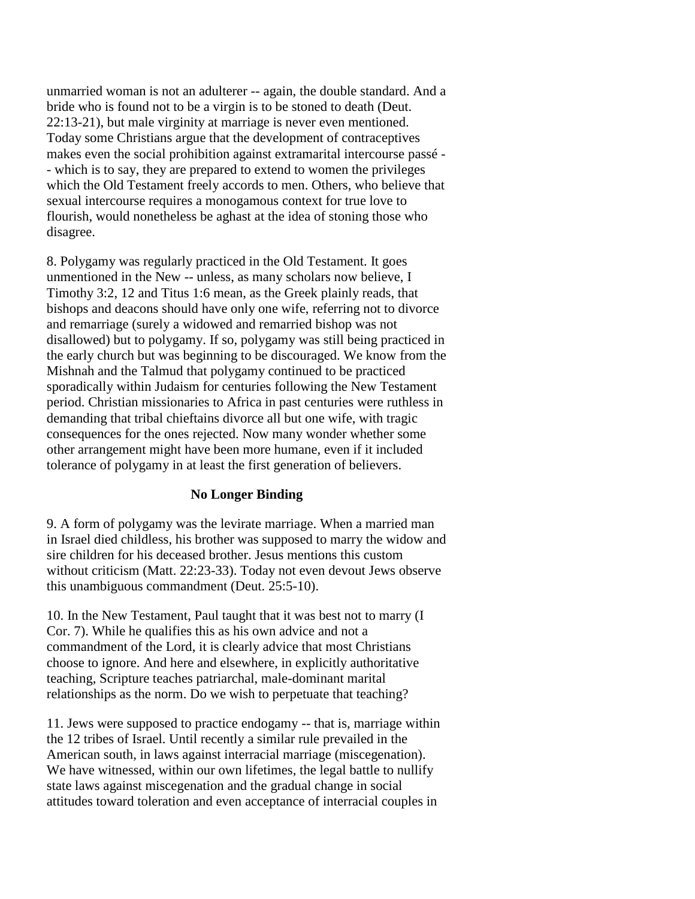unmarried woman is not an adulterer -- again, the double standard. And a bride who is found not to be a virgin is to be stoned to death (Deut. 22:13-21), but male virginity at marriage is never even mentioned. Today some Christians argue that the development of contraceptives makes even the social prohibition against extramarital intercourse passé - - which is to say, they are prepared to extend to women the privileges which the Old Testament freely accords to men. Others, who believe that sexual intercourse requires a monogamous context for true love to flourish, would nonetheless be aghast at the idea of stoning those who disagree.

8. Polygamy was regularly practiced in the Old Testament. It goes unmentioned in the New -- unless, as many scholars now believe, I Timothy 3:2, 12 and Titus 1:6 mean, as the Greek plainly reads, that bishops and deacons should have only one wife, referring not to divorce and remarriage (surely a widowed and remarried bishop was not disallowed) but to polygamy. If so, polygamy was still being practiced in the early church but was beginning to be discouraged. We know from the Mishnah and the Talmud that polygamy continued to be practiced sporadically within Judaism for centuries following the New Testament period. Christian missionaries to Africa in past centuries were ruthless in demanding that tribal chieftains divorce all but one wife, with tragic consequences for the ones rejected. Now many wonder whether some other arrangement might have been more humane, even if it included tolerance of polygamy in at least the first generation of believers.

#### **No Longer Binding**

9. A form of polygamy was the levirate marriage. When a married man in Israel died childless, his brother was supposed to marry the widow and sire children for his deceased brother. Jesus mentions this custom without criticism (Matt. 22:23-33). Today not even devout Jews observe this unambiguous commandment (Deut. 25:5-10).

10. In the New Testament, Paul taught that it was best not to marry (I Cor. 7). While he qualifies this as his own advice and not a commandment of the Lord, it is clearly advice that most Christians choose to ignore. And here and elsewhere, in explicitly authoritative teaching, Scripture teaches patriarchal, male-dominant marital relationships as the norm. Do we wish to perpetuate that teaching?

11. Jews were supposed to practice endogamy -- that is, marriage within the 12 tribes of Israel. Until recently a similar rule prevailed in the American south, in laws against interracial marriage (miscegenation). We have witnessed, within our own lifetimes, the legal battle to nullify state laws against miscegenation and the gradual change in social attitudes toward toleration and even acceptance of interracial couples in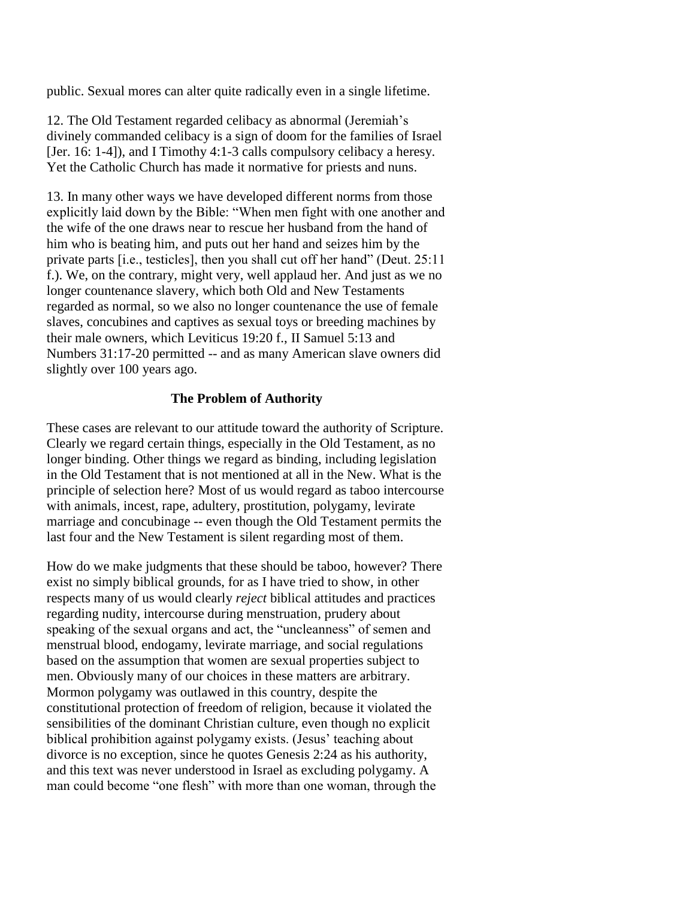public. Sexual mores can alter quite radically even in a single lifetime.

12. The Old Testament regarded celibacy as abnormal (Jeremiah's divinely commanded celibacy is a sign of doom for the families of Israel [Jer. 16: 1-4]), and I Timothy 4:1-3 calls compulsory celibacy a heresy. Yet the Catholic Church has made it normative for priests and nuns.

13. In many other ways we have developed different norms from those explicitly laid down by the Bible: "When men fight with one another and the wife of the one draws near to rescue her husband from the hand of him who is beating him, and puts out her hand and seizes him by the private parts [i.e., testicles], then you shall cut off her hand" (Deut. 25:11 f.). We, on the contrary, might very, well applaud her. And just as we no longer countenance slavery, which both Old and New Testaments regarded as normal, so we also no longer countenance the use of female slaves, concubines and captives as sexual toys or breeding machines by their male owners, which Leviticus 19:20 f., II Samuel 5:13 and Numbers 31:17-20 permitted -- and as many American slave owners did slightly over 100 years ago.

### **The Problem of Authority**

These cases are relevant to our attitude toward the authority of Scripture. Clearly we regard certain things, especially in the Old Testament, as no longer binding. Other things we regard as binding, including legislation in the Old Testament that is not mentioned at all in the New. What is the principle of selection here? Most of us would regard as taboo intercourse with animals, incest, rape, adultery, prostitution, polygamy, levirate marriage and concubinage -- even though the Old Testament permits the last four and the New Testament is silent regarding most of them.

How do we make judgments that these should be taboo, however? There exist no simply biblical grounds, for as I have tried to show, in other respects many of us would clearly *reject* biblical attitudes and practices regarding nudity, intercourse during menstruation, prudery about speaking of the sexual organs and act, the "uncleanness" of semen and menstrual blood, endogamy, levirate marriage, and social regulations based on the assumption that women are sexual properties subject to men. Obviously many of our choices in these matters are arbitrary. Mormon polygamy was outlawed in this country, despite the constitutional protection of freedom of religion, because it violated the sensibilities of the dominant Christian culture, even though no explicit biblical prohibition against polygamy exists. (Jesus' teaching about divorce is no exception, since he quotes Genesis 2:24 as his authority, and this text was never understood in Israel as excluding polygamy. A man could become "one flesh" with more than one woman, through the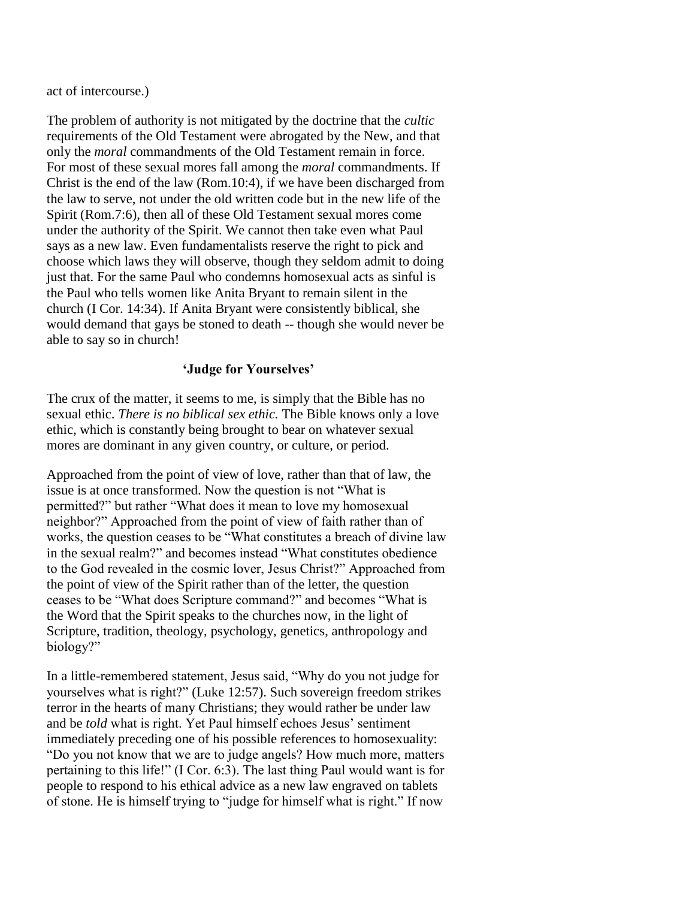act of intercourse.)

The problem of authority is not mitigated by the doctrine that the *cultic*  requirements of the Old Testament were abrogated by the New, and that only the *moral* commandments of the Old Testament remain in force. For most of these sexual mores fall among the *moral* commandments. If Christ is the end of the law (Rom.10:4), if we have been discharged from the law to serve, not under the old written code but in the new life of the Spirit (Rom.7:6), then all of these Old Testament sexual mores come under the authority of the Spirit. We cannot then take even what Paul says as a new law. Even fundamentalists reserve the right to pick and choose which laws they will observe, though they seldom admit to doing just that. For the same Paul who condemns homosexual acts as sinful is the Paul who tells women like Anita Bryant to remain silent in the church (I Cor. 14:34). If Anita Bryant were consistently biblical, she would demand that gays be stoned to death -- though she would never be able to say so in church!

### **'Judge for Yourselves'**

The crux of the matter, it seems to me, is simply that the Bible has no sexual ethic. *There is no biblical sex ethic.* The Bible knows only a love ethic, which is constantly being brought to bear on whatever sexual mores are dominant in any given country, or culture, or period.

Approached from the point of view of love, rather than that of law, the issue is at once transformed. Now the question is not "What is permitted?" but rather "What does it mean to love my homosexual neighbor?" Approached from the point of view of faith rather than of works, the question ceases to be "What constitutes a breach of divine law in the sexual realm?" and becomes instead "What constitutes obedience to the God revealed in the cosmic lover, Jesus Christ?" Approached from the point of view of the Spirit rather than of the letter, the question ceases to be "What does Scripture command?" and becomes "What is the Word that the Spirit speaks to the churches now, in the light of Scripture, tradition, theology, psychology, genetics, anthropology and biology?"

In a little-remembered statement, Jesus said, "Why do you not judge for yourselves what is right?" (Luke 12:57). Such sovereign freedom strikes terror in the hearts of many Christians; they would rather be under law and be *told* what is right. Yet Paul himself echoes Jesus' sentiment immediately preceding one of his possible references to homosexuality: "Do you not know that we are to judge angels? How much more, matters pertaining to this life!" (I Cor. 6:3). The last thing Paul would want is for people to respond to his ethical advice as a new law engraved on tablets of stone. He is himself trying to "judge for himself what is right." If now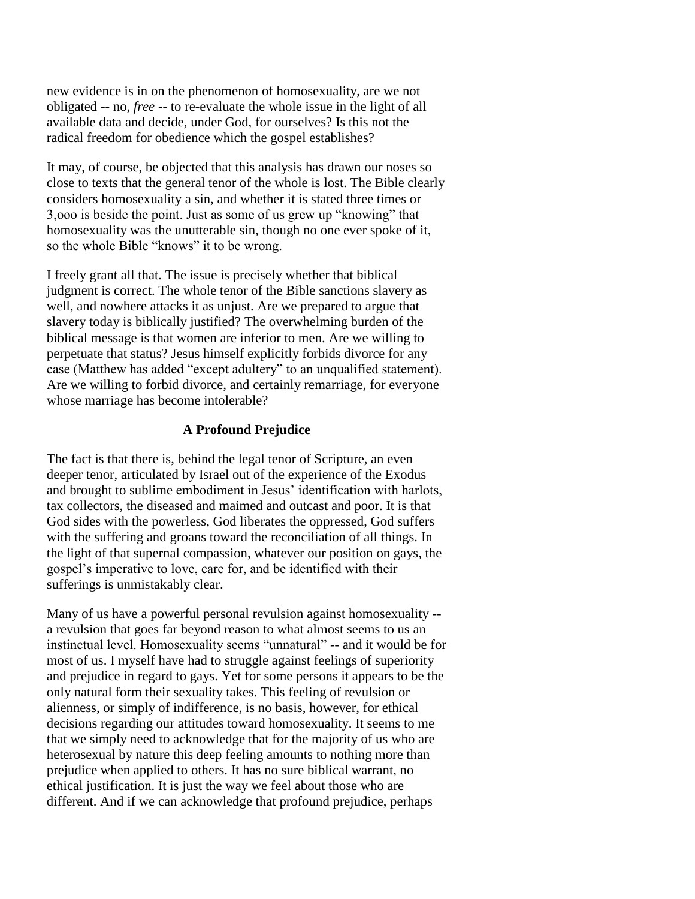new evidence is in on the phenomenon of homosexuality, are we not obligated -- no, *free* -- to re-evaluate the whole issue in the light of all available data and decide, under God, for ourselves? Is this not the radical freedom for obedience which the gospel establishes?

It may, of course, be objected that this analysis has drawn our noses so close to texts that the general tenor of the whole is lost. The Bible clearly considers homosexuality a sin, and whether it is stated three times or 3,ooo is beside the point. Just as some of us grew up "knowing" that homosexuality was the unutterable sin, though no one ever spoke of it, so the whole Bible "knows" it to be wrong.

I freely grant all that. The issue is precisely whether that biblical judgment is correct. The whole tenor of the Bible sanctions slavery as well, and nowhere attacks it as unjust. Are we prepared to argue that slavery today is biblically justified? The overwhelming burden of the biblical message is that women are inferior to men. Are we willing to perpetuate that status? Jesus himself explicitly forbids divorce for any case (Matthew has added "except adultery" to an unqualified statement). Are we willing to forbid divorce, and certainly remarriage, for everyone whose marriage has become intolerable?

#### **A Profound Prejudice**

The fact is that there is, behind the legal tenor of Scripture, an even deeper tenor, articulated by Israel out of the experience of the Exodus and brought to sublime embodiment in Jesus' identification with harlots, tax collectors, the diseased and maimed and outcast and poor. It is that God sides with the powerless, God liberates the oppressed, God suffers with the suffering and groans toward the reconciliation of all things. In the light of that supernal compassion, whatever our position on gays, the gospel's imperative to love, care for, and be identified with their sufferings is unmistakably clear.

Many of us have a powerful personal revulsion against homosexuality - a revulsion that goes far beyond reason to what almost seems to us an instinctual level. Homosexuality seems "unnatural" -- and it would be for most of us. I myself have had to struggle against feelings of superiority and prejudice in regard to gays. Yet for some persons it appears to be the only natural form their sexuality takes. This feeling of revulsion or alienness, or simply of indifference, is no basis, however, for ethical decisions regarding our attitudes toward homosexuality. It seems to me that we simply need to acknowledge that for the majority of us who are heterosexual by nature this deep feeling amounts to nothing more than prejudice when applied to others. It has no sure biblical warrant, no ethical justification. It is just the way we feel about those who are different. And if we can acknowledge that profound prejudice, perhaps